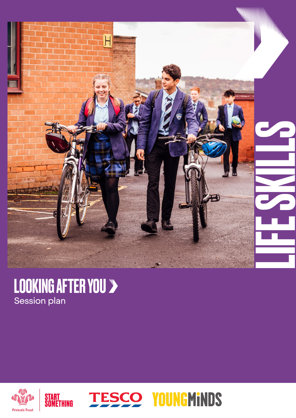

### LOOKING AFTER YOU Session plan

START<br>Something



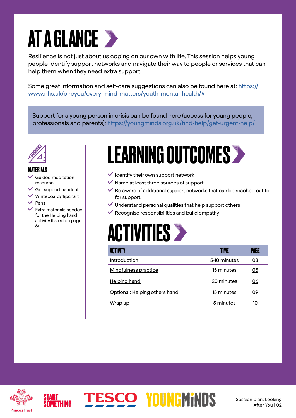# AT A GLANCE >

Resilience is not just about us coping on our own with life. This session helps young people identify support networks and navigate their way to people or services that can help them when they need extra support.

Some great information and self-care suggestions can also be found here at: [https://](https://www.nhs.uk/oneyou/every-mind-matters/youth-mental-health/#) [www.nhs.uk/oneyou/every-mind-matters/youth-mental-health/#](https://www.nhs.uk/oneyou/every-mind-matters/youth-mental-health/#)

Support for a young person in crisis can be found here (access for young people, professionals and parents)[: https://youngminds.org.uk/find-help/get-urgent-help/]( https://youngminds.org.uk/find-help/get-urgent-help/)



#### MATERIALS

- Guided meditation resource
- $\checkmark$  Get support handout
- $\checkmark$  Whiteboard/flipchart
- $\vee$  Pens
- $\vee$  Extra materials needed for the Helping hand activity (listed on page 6)

### LEARNING OUTCOMES>

- $\vee$  Identify their own support network
- $\vee$  Name at least three sources of support
- $\vee$  Be aware of additional support networks that can be reached out to for support
- $\checkmark$  Understand personal qualities that help support others
- $\checkmark$  Recognise responsibilities and build empathy

### **ACTIVITIES >**

**ESCO YOUNGMINDS** 

| ACTIVITY                      | TIME         | PAGE             |
|-------------------------------|--------------|------------------|
| Introduction                  | 5-10 minutes | $\underline{03}$ |
| Mindfulness practice          | 15 minutes   | 05               |
| <b>Helping hand</b>           | 20 minutes   | 06               |
| Optional: Helping others hand | 15 minutes   | 09               |
| Wrap up                       | 5 minutes    | 10               |

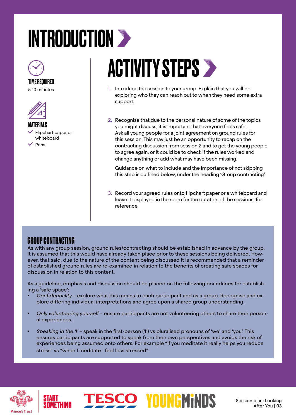# <span id="page-2-0"></span>INTRODUCTION >



#### TIME REQUIRED 5-10 minutes



MATERIALS Flipchart paper or whiteboard  $\angle$  Pens

# **ACTIVITY STEPS >**

- 1. Introduce the session to your group. Explain that you will be exploring who they can reach out to when they need some extra support.
- 2. Recognise that due to the personal nature of some of the topics you might discuss, it is important that everyone feels safe. Ask all young people for a joint agreement on ground rules for this session. This may just be an opportunity to recap on the contracting discussion from session 2 and to get the young people to agree again, or it could be to check if the rules worked and change anything or add what may have been missing.

Guidance on what to include and the importance of not skipping this step is outlined below, under the heading 'Group contracting'.

3. Record your agreed rules onto flipchart paper or a whiteboard and leave it displayed in the room for the duration of the sessions, for reference.

#### GROUP CONTRACTING

As with any group session, ground rules/contracting should be established in advance by the group. It is assumed that this would have already taken place prior to these sessions being delivered. However, that said, due to the nature of the content being discussed it is recommended that a reminder of established ground rules are re-examined in relation to the benefits of creating safe spaces for discussion in relation to this content.

As a guideline, emphasis and discussion should be placed on the following boundaries for establishing a 'safe space':

- Confidentiality explore what this means to each participant and as a group. Recognise and explore differing individual interpretations and agree upon a shared group understanding.
- Only volunteering yourself ensure participants are not volunteering others to share their personal experiences.
- Speaking in the 'I' speak in the first-person ('I') vs pluralised pronouns of 'we' and 'you'. This ensures participants are supported to speak from their own perspectives and avoids the risk of experiences being assumed onto others. For example "if you meditate it really helps you reduce stress" vs "when I meditate I feel less stressed".

**ESCO YOUNGMINDS** 



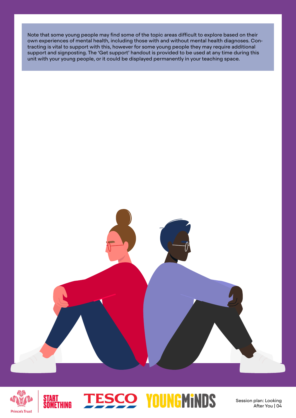Note that some young people may find some of the topic areas difficult to explore based on their own experiences of mental health, including those with and without mental health diagnoses. Contracting is vital to support with this, however for some young people they may require additional support and signposting. The 'Get support' handout is provided to be used at any time during this unit with your young people, or it could be displayed permanently in your teaching space.





START<br>Someti

### **ESCO YOUNGMINDS**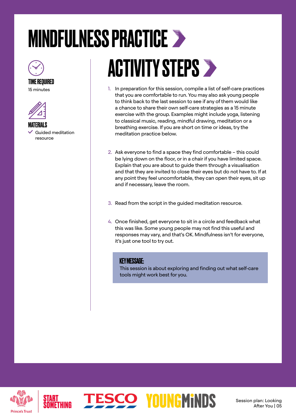# <span id="page-4-0"></span>MINDFULNESS PRACTICE



#### TIME REQUIRED

15 minutes



MATERIALS Guided meditation resource

# **ACTIVITY STEPS >**

- 1. In preparation for this session, compile a list of self-care practices that you are comfortable to run. You may also ask young people to think back to the last session to see if any of them would like a chance to share their own self-care strategies as a 15 minute exercise with the group. Examples might include yoga, listening to classical music, reading, mindful drawing, meditation or a breathing exercise. If you are short on time or ideas, try the meditation practice below.
- 2. Ask everyone to find a space they find comfortable this could be lying down on the floor, or in a chair if you have limited space. Explain that you are about to guide them through a visualisation and that they are invited to close their eyes but do not have to. If at any point they feel uncomfortable, they can open their eyes, sit up and if necessary, leave the room.
- 3. Read from the script in the guided meditation resource.
- 4. Once finished, get everyone to sit in a circle and feedback what this was like. Some young people may not find this useful and responses may vary, and that's OK. Mindfulness isn't for everyone, it's just one tool to try out.

#### KEY MESSAGE:

**ESCO YOUNGMINDS** 

This session is about exploring and finding out what self-care tools might work best for you.



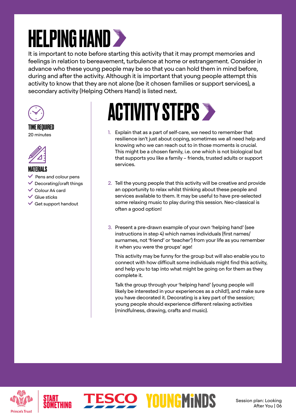# <span id="page-5-0"></span>**HELPING HAND >>**

It is important to note before starting this activity that it may prompt memories and feelings in relation to bereavement, turbulence at home or estrangement. Consider in advance who these young people may be so that you can hold them in mind before, during and after the activity. Although it is important that young people attempt this activity to know that they are not alone (be it chosen families or support services), a secondary activity (Helping Others Hand) is listed next.



#### TIME REQUIRED 20 minutes



#### MATERIALS

- $\checkmark$  Pens and colour pens
- $\vee$  Decorating/craft things
- Colour A4 card
- $\checkmark$  Glue sticks
- $\checkmark$  Get support handout

# **ACTIVITY STEPS >**

- 1. Explain that as a part of self-care, we need to remember that resilience isn't just about coping, sometimes we all need help and knowing who we can reach out to in those moments is crucial. This might be a chosen family, i.e. one which is not biological but that supports you like a family – friends, trusted adults or support services.
- 2. Tell the young people that this activity will be creative and provide an opportunity to relax whilst thinking about these people and services available to them. It may be useful to have pre-selected some relaxing music to play during this session. Neo-classical is often a good option!
- 3. Present a pre-drawn example of your own 'helping hand' (see instructions in step 4) which names individuals (first names/ surnames, not 'friend' or 'teacher') from your life as you remember it when you were the groups' age!

This activity may be funny for the group but will also enable you to connect with how difficult some individuals might find this activity, and help you to tap into what might be going on for them as they complete it.

Talk the group through your 'helping hand' (young people will likely be interested in your experiences as a child!), and make sure you have decorated it. Decorating is a key part of the session; young people should experience different relaxing activities (mindfulness, drawing, crafts and music).

**ESCO YOUNGMINDS** 

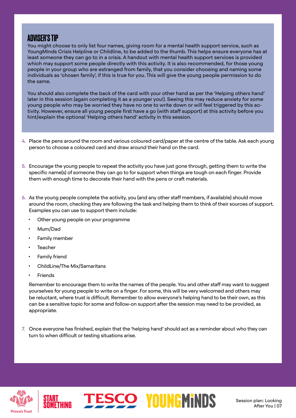#### ADVISER'S TIP

You might choose to only list four names, giving room for a mental health support service, such as YoungMinds Crisis Helpline or Childline, to be added to the thumb. This helps ensure everyone has at least someone they can go to in a crisis. A handout with mental health support services is provided which may support some people directly with this activity. It is also recommended, for those young people in your group who are estranged from family, that you consider choosing and naming some individuals as 'chosen family', if this is true for you. This will give the young people permission to do the same.

You should also complete the back of the card with your other hand as per the 'Helping others hand' later in this session (again completing it as a younger you!). Seeing this may reduce anxiety for some young people who may be worried they have no one to write down or will feel triggered by this activity. However, ensure all young people first have a go (with staff support) at this activity before you hint/explain the optional 'Helping others hand' activity in this session.

- 4. Place the pens around the room and various coloured card/paper at the centre of the table. Ask each young person to choose a coloured card and draw around their hand on the card.
- 5. Encourage the young people to repeat the activity you have just gone through, getting them to write the specific name(s) of someone they can go to for support when things are tough on each finger. Provide them with enough time to decorate their hand with the pens or craft materials.
- 6. As the young people complete the activity, you (and any other staff members, if available) should move around the room, checking they are following the task and helping them to think of their sources of support. Examples you can use to support them include:
	- Other young people on your programme
	- Mum/Dad
	- Family member
	- **Teacher**
	- Family friend
	- ChildLine/The Mix/Samaritans
	- **Friends**

Remember to encourage them to write the names of the people. You and other staff may want to suggest yourselves for young people to write on a finger. For some, this will be very welcomed and others may be reluctant, where trust is difficult. Remember to allow everyone's helping hand to be their own, as this can be a sensitive topic for some and follow-on support after the session may need to be provided, as appropriate.

7. Once everyone has finished, explain that the 'helping hand' should act as a reminder about who they can turn to when difficult or testing situations arise.



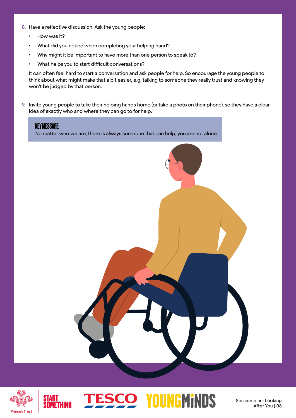- 8. Have a reflective discussion. Ask the young people:
	- How was it?
	- What did you notice when completing your helping hand?
	- Why might it be important to have more than one person to speak to?
	- What helps you to start difficult conversations?

It can often feel hard to start a conversation and ask people for help. So encourage the young people to think about what might make that a bit easier, e.g. talking to someone they really trust and knowing they won't be judged by that person.

9. Invite young people to take their helping hands home (or take a photo on their phone), so they have a clear idea of exactly who and where they can go to for help.



**ESCO YOUNGMINDS** 

Session plan: Looking

After You | 08

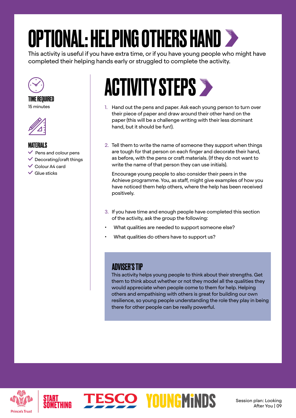# <span id="page-8-0"></span>OPTIONAL: HELPING OTHERS HAND

This activity is useful if you have extra time, or if you have young people who might have completed their helping hands early or struggled to complete the activity.



#### TIME REQUIRED 15 minutes



#### **MATFRIAI S**

- $\checkmark$  Pens and colour pens
- $\vee$  Decorating/craft things
- Colour A4 card
- $\vee$  Glue sticks

### ACTIVITY STEPS >

- 1. Hand out the pens and paper. Ask each young person to turn over their piece of paper and draw around their other hand on the paper (this will be a challenge writing with their less dominant hand, but it should be fun!).
- 2. Tell them to write the name of someone they support when things are tough for that person on each finger and decorate their hand, as before, with the pens or craft materials. (If they do not want to write the name of that person they can use initials).

Encourage young people to also consider their peers in the Achieve programme. You, as staff, might give examples of how you have noticed them help others, where the help has been received positively.

- 3. If you have time and enough people have completed this section of the activity, ask the group the following:
- What qualities are needed to support someone else?
- What qualities do others have to support us?

**ESCO YOUNGMINDS** 

#### ADVISER'S TIP

This activity helps young people to think about their strengths. Get them to think about whether or not they model all the qualities they would appreciate when people come to them for help. Helping others and empathising with others is great for building our own resilience, so young people understanding the role they play in being there for other people can be really powerful.